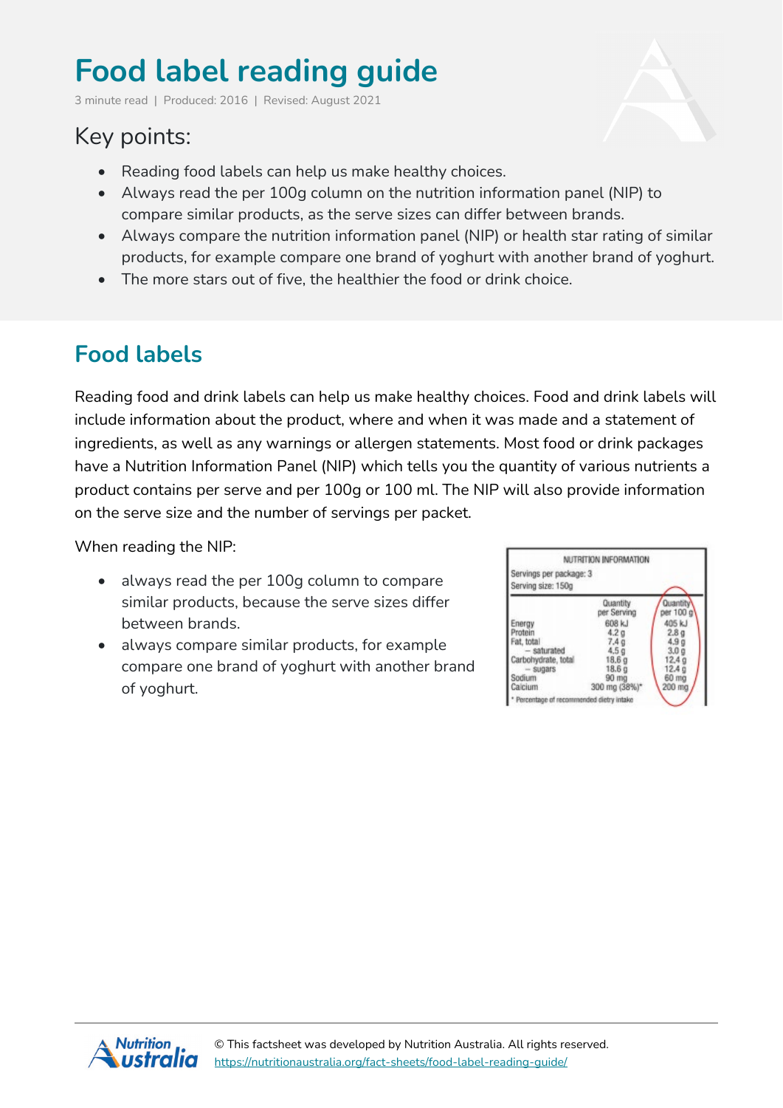# **Food label reading guide**

3 minute read | Produced: 2016 | Revised: August 2021

# Key points:

- Reading food labels can help us make healthy choices.
- Always read the per 100g column on the nutrition information panel (NIP) to compare similar products, as the serve sizes can differ between brands.
- Always compare the nutrition information panel (NIP) or health star rating of similar products, for example compare one brand of yoghurt with another brand of yoghurt.
- The more stars out of five, the healthier the food or drink choice.

# **Food labels**

Reading food and drink labels can help us make healthy choices. Food and drink labels will include information about the product, where and when it was made and a statement of ingredients, as well as any warnings or allergen statements. Most food or drink packages have a Nutrition Information Panel (NIP) which tells you the quantity of various nutrients a product contains per serve and per 100g or 100 ml. The NIP will also provide information on the serve size and the number of servings per packet.

When reading the NIP:

- always read the per 100g column to compare similar products, because the serve sizes differ between brands.
- always compare similar products, for example compare one brand of yoghurt with another brand of yoghurt.



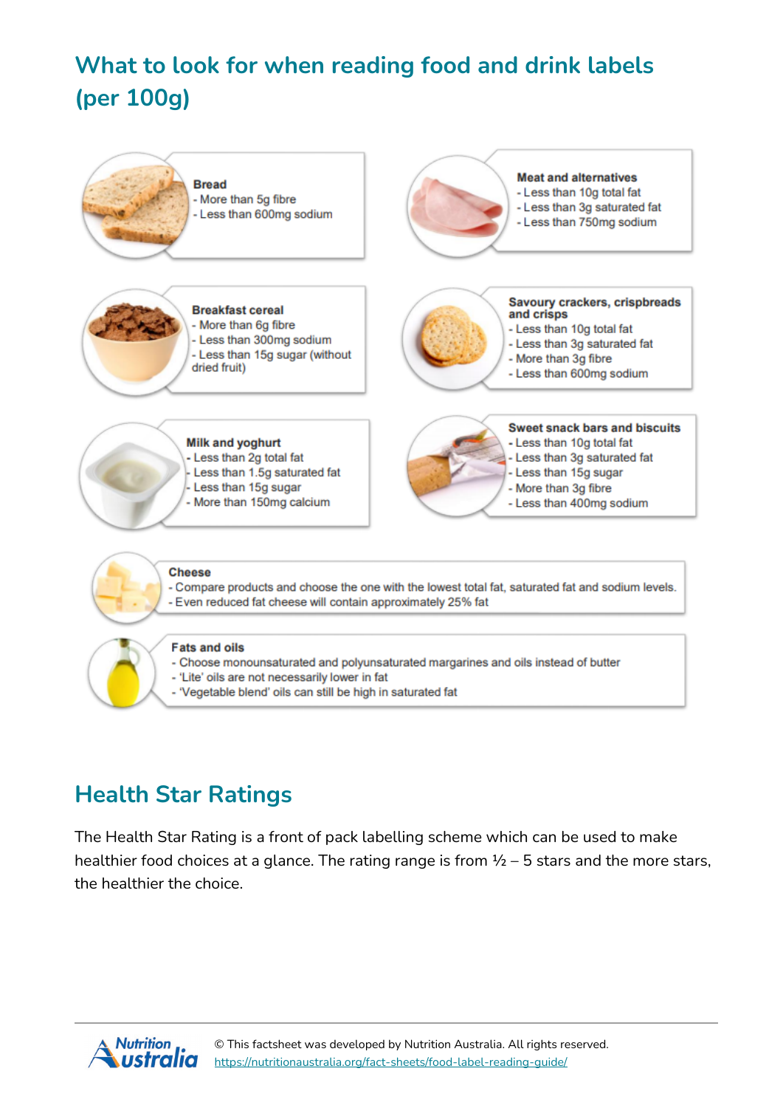# **What to look for when reading food and drink labels (per 100g)**



# **Health Star Ratings**

The Health Star Rating is a front of pack labelling scheme which can be used to make healthier food choices at a glance. The rating range is from  $\frac{1}{2}$  – 5 stars and the more stars, the healthier the choice.